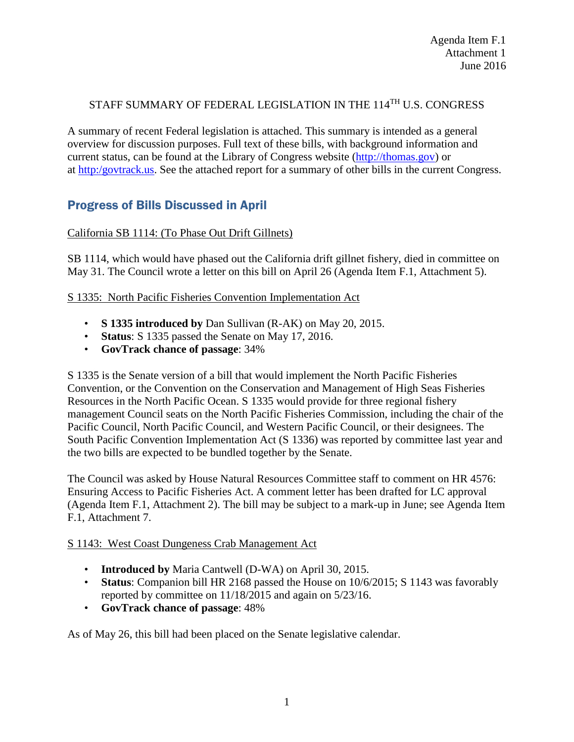# STAFF SUMMARY OF FEDERAL LEGISLATION IN THE 114<sup>TH</sup> U.S. CONGRESS

A summary of recent Federal legislation is attached. This summary is intended as a general overview for discussion purposes. Full text of these bills, with background information and current status, can be found at the Library of Congress website [\(http://thomas.gov\)](http://thomas.gov/) or at [http:/govtrack.us.](http://govtrack.us/) See the attached report for a summary of other bills in the current Congress.

# Progress of Bills Discussed in April

# California SB 1114: (To Phase Out Drift Gillnets)

SB 1114, which would have phased out the California drift gillnet fishery, died in committee on May 31. The Council wrote a letter on this bill on April 26 (Agenda Item F.1, Attachment 5).

## S 1335: North Pacific Fisheries Convention Implementation Act

- **S 1335 introduced by** Dan Sullivan (R-AK) on May 20, 2015.
- **Status**: S 1335 passed the Senate on May 17, 2016.
- **GovTrack chance of passage**: 34%

S 1335 is the Senate version of a bill that would implement the North Pacific Fisheries Convention, or the Convention on the Conservation and Management of High Seas Fisheries Resources in the North Pacific Ocean. S 1335 would provide for three regional fishery management Council seats on the North Pacific Fisheries Commission, including the chair of the Pacific Council, North Pacific Council, and Western Pacific Council, or their designees. The South Pacific Convention Implementation Act (S 1336) was reported by committee last year and the two bills are expected to be bundled together by the Senate.

The Council was asked by House Natural Resources Committee staff to comment on HR 4576: Ensuring Access to Pacific Fisheries Act. A comment letter has been drafted for LC approval (Agenda Item F.1, Attachment 2). The bill may be subject to a mark-up in June; see Agenda Item F.1, Attachment 7.

## S 1143: West Coast Dungeness Crab Management Act

- **Introduced by** Maria Cantwell (D-WA) on April 30, 2015.
- **Status**: Companion bill HR 2168 passed the House on 10/6/2015; S 1143 was favorably reported by committee on 11/18/2015 and again on 5/23/16.
- **GovTrack chance of passage**: 48%

As of May 26, this bill had been placed on the Senate legislative calendar.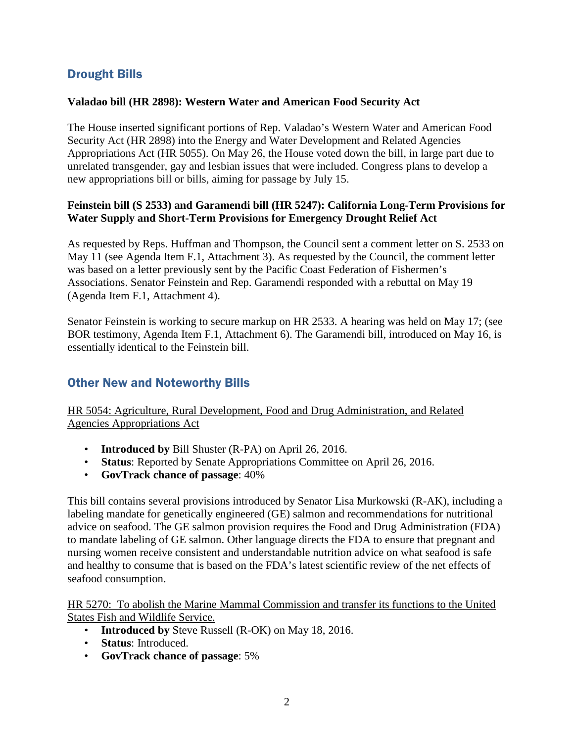# Drought Bills

#### **Valadao bill (HR 2898): Western Water and American Food Security Act**

The House inserted significant portions of Rep. Valadao's Western Water and American Food Security Act (HR 2898) into the Energy and Water Development and Related Agencies Appropriations Act (HR 5055). On May 26, the House voted down the bill, in large part due to unrelated transgender, gay and lesbian issues that were included. Congress plans to develop a new appropriations bill or bills, aiming for passage by July 15.

## **Feinstein bill (S 2533) and Garamendi bill (HR 5247): California Long-Term Provisions for Water Supply and Short-Term Provisions for Emergency Drought Relief Act**

As requested by Reps. Huffman and Thompson, the Council sent a comment letter on S. 2533 on May 11 (see Agenda Item F.1, Attachment 3). As requested by the Council, the comment letter was based on a letter previously sent by the Pacific Coast Federation of Fishermen's Associations. Senator Feinstein and Rep. Garamendi responded with a rebuttal on May 19 (Agenda Item F.1, Attachment 4).

Senator Feinstein is working to secure markup on HR 2533. A hearing was held on May 17; (see BOR testimony, Agenda Item F.1, Attachment 6). The Garamendi bill, introduced on May 16, is essentially identical to the Feinstein bill.

# Other New and Noteworthy Bills

HR 5054: Agriculture, Rural Development, Food and Drug Administration, and Related Agencies Appropriations Act

- **Introduced by** Bill Shuster (R-PA) on April 26, 2016.
- **Status**: Reported by Senate Appropriations Committee on April 26, 2016.
- **GovTrack chance of passage**: 40%

This bill contains several provisions introduced by Senator Lisa Murkowski (R-AK), including a labeling mandate for genetically engineered (GE) salmon and recommendations for nutritional advice on seafood. The GE salmon provision requires the Food and Drug Administration (FDA) to mandate labeling of GE salmon. Other language directs the FDA to ensure that pregnant and nursing women receive consistent and understandable nutrition advice on what seafood is safe and healthy to consume that is based on the FDA's latest scientific review of the net effects of seafood consumption.

HR 5270: To abolish the Marine Mammal Commission and transfer its functions to the United States Fish and Wildlife Service.

- **Introduced by** Steve Russell (R-OK) on May 18, 2016.
- **Status**: Introduced.
- **GovTrack chance of passage**: 5%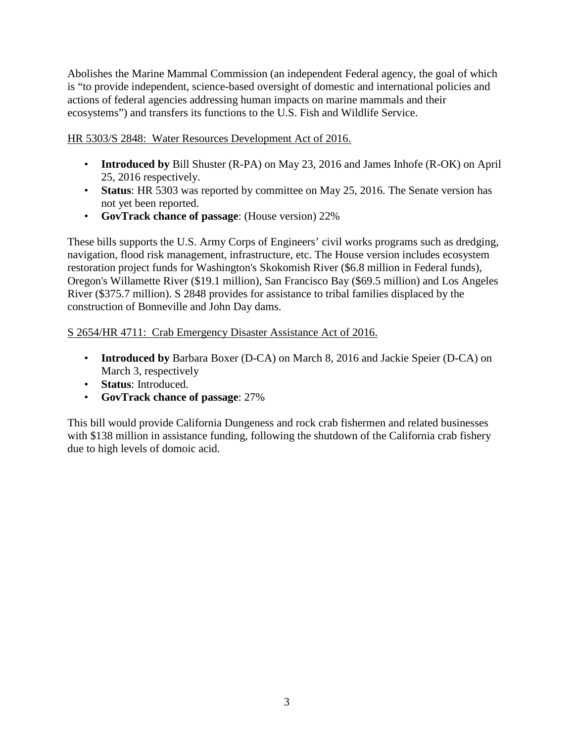Abolishes the Marine Mammal Commission (an independent Federal agency, the goal of which is "to provide independent, science-based oversight of domestic and international policies and actions of federal agencies addressing human impacts on marine mammals and their ecosystems") and transfers its functions to the U.S. Fish and Wildlife Service.

HR 5303/S 2848: Water Resources Development Act of 2016.

- **Introduced by** Bill Shuster (R-PA) on May 23, 2016 and James Inhofe (R-OK) on April 25, 2016 respectively.
- **Status**: HR 5303 was reported by committee on May 25, 2016. The Senate version has not yet been reported.
- **GovTrack chance of passage**: (House version) 22%

These bills supports the U.S. Army Corps of Engineers' civil works programs such as dredging, navigation, flood risk management, infrastructure, etc. The House version includes ecosystem restoration project funds for Washington's Skokomish River (\$6.8 million in Federal funds), Oregon's Willamette River (\$19.1 million), San Francisco Bay (\$69.5 million) and Los Angeles River (\$375.7 million). S 2848 provides for assistance to tribal families displaced by the construction of Bonneville and John Day dams.

# S 2654/HR 4711: Crab Emergency Disaster Assistance Act of 2016.

- **Introduced by** Barbara Boxer (D-CA) on March 8, 2016 and Jackie Speier (D-CA) on March 3, respectively
- **Status**: Introduced.
- **GovTrack chance of passage**: 27%

This bill would provide California Dungeness and rock crab fishermen and related businesses with \$138 million in assistance funding, following the shutdown of the California crab fishery due to high levels of domoic acid.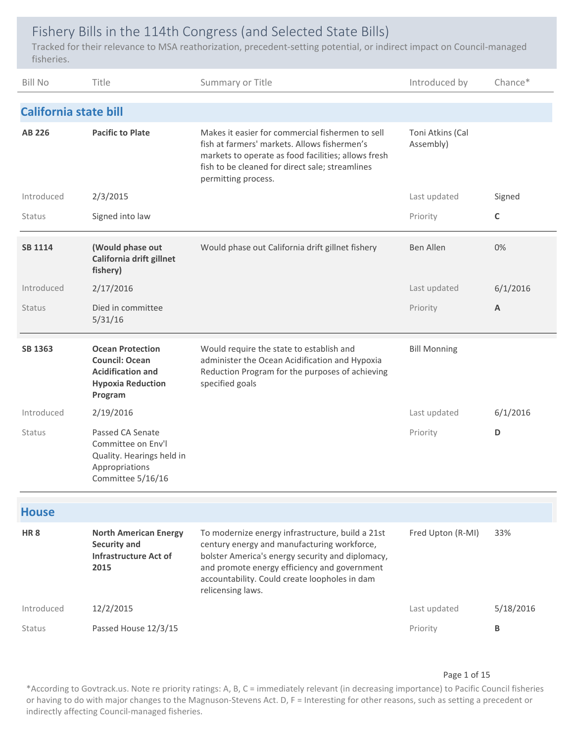# Fishery Bills in the 114th Congress (and Selected State Bills)

Tracked for their relevance to MSA reathorization, precedent‐setting potential, or indirect impact on Council‐managed fisheries.

| <b>Bill No</b>               | Title                                                                                                               | Summary or Title                                                                                                                                                                                                                                                          | Introduced by                 | Chance*   |
|------------------------------|---------------------------------------------------------------------------------------------------------------------|---------------------------------------------------------------------------------------------------------------------------------------------------------------------------------------------------------------------------------------------------------------------------|-------------------------------|-----------|
| <b>California state bill</b> |                                                                                                                     |                                                                                                                                                                                                                                                                           |                               |           |
| AB 226                       | <b>Pacific to Plate</b>                                                                                             | Makes it easier for commercial fishermen to sell<br>fish at farmers' markets. Allows fishermen's<br>markets to operate as food facilities; allows fresh<br>fish to be cleaned for direct sale; streamlines<br>permitting process.                                         | Toni Atkins (Cal<br>Assembly) |           |
| Introduced                   | 2/3/2015                                                                                                            |                                                                                                                                                                                                                                                                           | Last updated                  | Signed    |
| Status                       | Signed into law                                                                                                     |                                                                                                                                                                                                                                                                           | Priority                      | C         |
| <b>SB 1114</b>               | (Would phase out<br>California drift gillnet<br>fishery)                                                            | Would phase out California drift gillnet fishery                                                                                                                                                                                                                          | <b>Ben Allen</b>              | 0%        |
| Introduced                   | 2/17/2016                                                                                                           |                                                                                                                                                                                                                                                                           | Last updated                  | 6/1/2016  |
| <b>Status</b>                | Died in committee<br>5/31/16                                                                                        |                                                                                                                                                                                                                                                                           | Priority                      | A         |
| SB 1363                      | <b>Ocean Protection</b><br><b>Council: Ocean</b><br><b>Acidification and</b><br><b>Hypoxia Reduction</b><br>Program | Would require the state to establish and<br>administer the Ocean Acidification and Hypoxia<br>Reduction Program for the purposes of achieving<br>specified goals                                                                                                          | <b>Bill Monning</b>           |           |
| Introduced                   | 2/19/2016                                                                                                           |                                                                                                                                                                                                                                                                           | Last updated                  | 6/1/2016  |
| <b>Status</b>                | Passed CA Senate<br>Committee on Env'l<br>Quality. Hearings held in<br>Appropriations<br>Committee 5/16/16          |                                                                                                                                                                                                                                                                           | Priority                      | D         |
| <b>House</b>                 |                                                                                                                     |                                                                                                                                                                                                                                                                           |                               |           |
| <b>HR8</b>                   | <b>North American Energy</b><br><b>Security and</b><br><b>Infrastructure Act of</b><br>2015                         | To modernize energy infrastructure, build a 21st<br>century energy and manufacturing workforce,<br>bolster America's energy security and diplomacy,<br>and promote energy efficiency and government<br>accountability. Could create loopholes in dam<br>relicensing laws. | Fred Upton (R-MI)             | 33%       |
| Introduced                   | 12/2/2015                                                                                                           |                                                                                                                                                                                                                                                                           | Last updated                  | 5/18/2016 |
| Status                       | Passed House 12/3/15                                                                                                |                                                                                                                                                                                                                                                                           | Priority                      | B         |

#### Page 1 of 15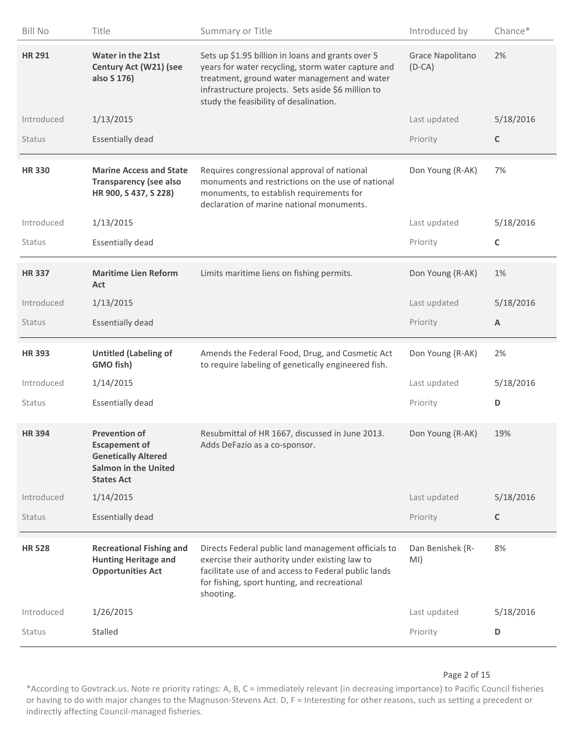| <b>Bill No</b> | Title                                                                                                                   | Summary or Title                                                                                                                                                                                                                                        | Introduced by                | Chance*     |
|----------------|-------------------------------------------------------------------------------------------------------------------------|---------------------------------------------------------------------------------------------------------------------------------------------------------------------------------------------------------------------------------------------------------|------------------------------|-------------|
| <b>HR 291</b>  | Water in the 21st<br>Century Act (W21) (see<br>also S 176)                                                              | Sets up \$1.95 billion in loans and grants over 5<br>years for water recycling, storm water capture and<br>treatment, ground water management and water<br>infrastructure projects. Sets aside \$6 million to<br>study the feasibility of desalination. | Grace Napolitano<br>$(D-CA)$ | 2%          |
| Introduced     | 1/13/2015                                                                                                               |                                                                                                                                                                                                                                                         | Last updated                 | 5/18/2016   |
| <b>Status</b>  | <b>Essentially dead</b>                                                                                                 |                                                                                                                                                                                                                                                         | Priority                     | C           |
| <b>HR330</b>   | <b>Marine Access and State</b><br><b>Transparency (see also</b><br>HR 900, S 437, S 228)                                | Requires congressional approval of national<br>monuments and restrictions on the use of national<br>monuments, to establish requirements for<br>declaration of marine national monuments.                                                               | Don Young (R-AK)             | 7%          |
| Introduced     | 1/13/2015                                                                                                               |                                                                                                                                                                                                                                                         | Last updated                 | 5/18/2016   |
| Status         | <b>Essentially dead</b>                                                                                                 |                                                                                                                                                                                                                                                         | Priority                     | $\mathsf C$ |
| <b>HR337</b>   | <b>Maritime Lien Reform</b><br>Act                                                                                      | Limits maritime liens on fishing permits.                                                                                                                                                                                                               | Don Young (R-AK)             | 1%          |
| Introduced     | 1/13/2015                                                                                                               |                                                                                                                                                                                                                                                         | Last updated                 | 5/18/2016   |
| <b>Status</b>  | <b>Essentially dead</b>                                                                                                 |                                                                                                                                                                                                                                                         | Priority                     | A           |
|                |                                                                                                                         |                                                                                                                                                                                                                                                         |                              |             |
| <b>HR393</b>   | <b>Untitled (Labeling of</b><br>GMO fish)                                                                               | Amends the Federal Food, Drug, and Cosmetic Act<br>to require labeling of genetically engineered fish.                                                                                                                                                  | Don Young (R-AK)             | 2%          |
| Introduced     | 1/14/2015                                                                                                               |                                                                                                                                                                                                                                                         | Last updated                 | 5/18/2016   |
| Status         | <b>Essentially dead</b>                                                                                                 |                                                                                                                                                                                                                                                         | Priority                     | D           |
| <b>HR394</b>   | <b>Prevention of</b><br><b>Escapement of</b><br><b>Genetically Altered</b><br>Salmon in the United<br><b>States Act</b> | Resubmittal of HR 1667, discussed in June 2013.<br>Adds DeFazio as a co-sponsor.                                                                                                                                                                        | Don Young (R-AK)             | 19%         |
| Introduced     | 1/14/2015                                                                                                               |                                                                                                                                                                                                                                                         | Last updated                 | 5/18/2016   |
| <b>Status</b>  | <b>Essentially dead</b>                                                                                                 |                                                                                                                                                                                                                                                         | Priority                     | C           |
| <b>HR 528</b>  | <b>Recreational Fishing and</b><br><b>Hunting Heritage and</b><br><b>Opportunities Act</b>                              | Directs Federal public land management officials to<br>exercise their authority under existing law to<br>facilitate use of and access to Federal public lands<br>for fishing, sport hunting, and recreational<br>shooting.                              | Dan Benishek (R-<br>MI)      | 8%          |
| Introduced     | 1/26/2015                                                                                                               |                                                                                                                                                                                                                                                         | Last updated                 | 5/18/2016   |

#### Page 2 of 15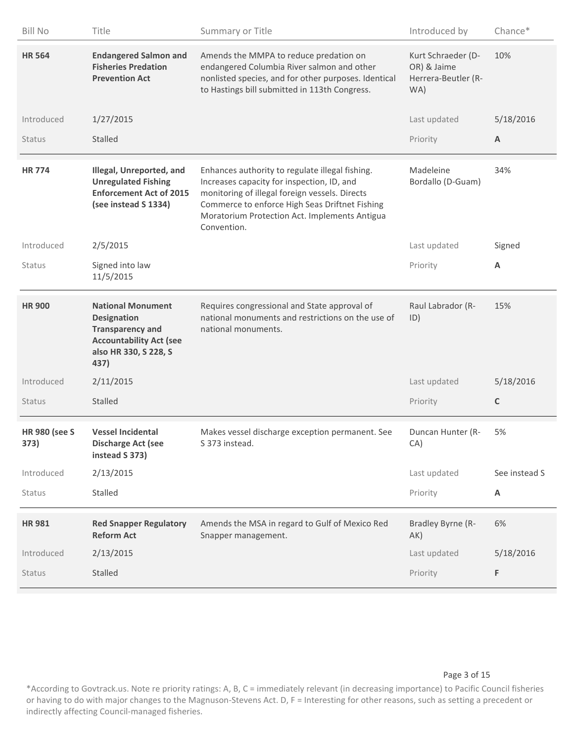| <b>Bill No</b>               | Title                                                                                                                                        | Summary or Title                                                                                                                                                                                                                                                  | Introduced by                                                   | Chance*       |
|------------------------------|----------------------------------------------------------------------------------------------------------------------------------------------|-------------------------------------------------------------------------------------------------------------------------------------------------------------------------------------------------------------------------------------------------------------------|-----------------------------------------------------------------|---------------|
| <b>HR 564</b>                | <b>Endangered Salmon and</b><br><b>Fisheries Predation</b><br><b>Prevention Act</b>                                                          | Amends the MMPA to reduce predation on<br>endangered Columbia River salmon and other<br>nonlisted species, and for other purposes. Identical<br>to Hastings bill submitted in 113th Congress.                                                                     | Kurt Schraeder (D-<br>OR) & Jaime<br>Herrera-Beutler (R-<br>WA) | 10%           |
| Introduced                   | 1/27/2015                                                                                                                                    |                                                                                                                                                                                                                                                                   | Last updated                                                    | 5/18/2016     |
| Status                       | Stalled                                                                                                                                      |                                                                                                                                                                                                                                                                   | Priority                                                        | A             |
| <b>HR774</b>                 | Illegal, Unreported, and<br><b>Unregulated Fishing</b><br><b>Enforcement Act of 2015</b><br>(see instead S 1334)                             | Enhances authority to regulate illegal fishing.<br>Increases capacity for inspection, ID, and<br>monitoring of illegal foreign vessels. Directs<br>Commerce to enforce High Seas Driftnet Fishing<br>Moratorium Protection Act. Implements Antigua<br>Convention. | Madeleine<br>Bordallo (D-Guam)                                  | 34%           |
| Introduced                   | 2/5/2015                                                                                                                                     |                                                                                                                                                                                                                                                                   | Last updated                                                    | Signed        |
| <b>Status</b>                | Signed into law<br>11/5/2015                                                                                                                 |                                                                                                                                                                                                                                                                   | Priority                                                        | Α             |
| <b>HR 900</b>                | <b>National Monument</b><br><b>Designation</b><br><b>Transparency and</b><br><b>Accountability Act (see</b><br>also HR 330, S 228, S<br>437) | Requires congressional and State approval of<br>national monuments and restrictions on the use of<br>national monuments.                                                                                                                                          | Raul Labrador (R-<br>ID)                                        | 15%           |
| Introduced                   | 2/11/2015                                                                                                                                    |                                                                                                                                                                                                                                                                   | Last updated                                                    | 5/18/2016     |
| <b>Status</b>                | Stalled                                                                                                                                      |                                                                                                                                                                                                                                                                   | Priority                                                        | $\mathsf C$   |
| <b>HR 980 (see S</b><br>373) | <b>Vessel Incidental</b><br><b>Discharge Act (see</b><br>instead S 373)                                                                      | Makes vessel discharge exception permanent. See<br>S 373 instead.                                                                                                                                                                                                 | Duncan Hunter (R-<br>CA)                                        | 5%            |
| Introduced                   | 2/13/2015                                                                                                                                    |                                                                                                                                                                                                                                                                   | Last updated                                                    | See instead S |
| Status                       | Stalled                                                                                                                                      |                                                                                                                                                                                                                                                                   | Priority                                                        | Α             |
| <b>HR981</b>                 | <b>Red Snapper Regulatory</b><br><b>Reform Act</b>                                                                                           | Amends the MSA in regard to Gulf of Mexico Red<br>Snapper management.                                                                                                                                                                                             | Bradley Byrne (R-<br>AK)                                        | 6%            |
| Introduced                   | 2/13/2015                                                                                                                                    |                                                                                                                                                                                                                                                                   | Last updated                                                    | 5/18/2016     |
| Status                       | Stalled                                                                                                                                      |                                                                                                                                                                                                                                                                   | Priority                                                        | F             |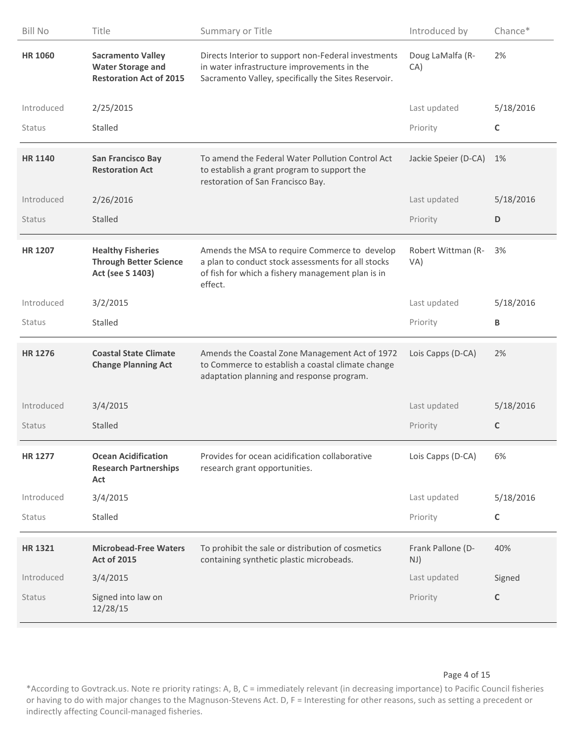| <b>Bill No</b> | Title                                                                                  | Summary or Title                                                                                                                                                    | Introduced by             | Chance*     |
|----------------|----------------------------------------------------------------------------------------|---------------------------------------------------------------------------------------------------------------------------------------------------------------------|---------------------------|-------------|
| <b>HR 1060</b> | <b>Sacramento Valley</b><br><b>Water Storage and</b><br><b>Restoration Act of 2015</b> | Directs Interior to support non-Federal investments<br>in water infrastructure improvements in the<br>Sacramento Valley, specifically the Sites Reservoir.          | Doug LaMalfa (R-<br>CA)   | 2%          |
| Introduced     | 2/25/2015                                                                              |                                                                                                                                                                     | Last updated              | 5/18/2016   |
| Status         | <b>Stalled</b>                                                                         |                                                                                                                                                                     | Priority                  | C           |
| <b>HR 1140</b> | <b>San Francisco Bay</b><br><b>Restoration Act</b>                                     | To amend the Federal Water Pollution Control Act<br>to establish a grant program to support the<br>restoration of San Francisco Bay.                                | Jackie Speier (D-CA)      | 1%          |
| Introduced     | 2/26/2016                                                                              |                                                                                                                                                                     | Last updated              | 5/18/2016   |
| Status         | <b>Stalled</b>                                                                         |                                                                                                                                                                     | Priority                  | D           |
| <b>HR 1207</b> | <b>Healthy Fisheries</b><br><b>Through Better Science</b><br>Act (see S 1403)          | Amends the MSA to require Commerce to develop<br>a plan to conduct stock assessments for all stocks<br>of fish for which a fishery management plan is in<br>effect. | Robert Wittman (R-<br>VA) | 3%          |
| Introduced     | 3/2/2015                                                                               |                                                                                                                                                                     | Last updated              | 5/18/2016   |
| Status         | Stalled                                                                                |                                                                                                                                                                     | Priority                  | B           |
| <b>HR 1276</b> | <b>Coastal State Climate</b><br><b>Change Planning Act</b>                             | Amends the Coastal Zone Management Act of 1972<br>to Commerce to establish a coastal climate change<br>adaptation planning and response program.                    | Lois Capps (D-CA)         | 2%          |
| Introduced     | 3/4/2015                                                                               |                                                                                                                                                                     | Last updated              | 5/18/2016   |
| <b>Status</b>  | Stalled                                                                                |                                                                                                                                                                     | Priority                  | C           |
| <b>HR 1277</b> | <b>Ocean Acidification</b><br><b>Research Partnerships</b><br>Act                      | Provides for ocean acidification collaborative<br>research grant opportunities.                                                                                     | Lois Capps (D-CA)         | 6%          |
| Introduced     | 3/4/2015                                                                               |                                                                                                                                                                     | Last updated              | 5/18/2016   |
| <b>Status</b>  | Stalled                                                                                |                                                                                                                                                                     | Priority                  | C           |
| <b>HR1321</b>  | <b>Microbead-Free Waters</b><br><b>Act of 2015</b>                                     | To prohibit the sale or distribution of cosmetics<br>containing synthetic plastic microbeads.                                                                       | Frank Pallone (D-<br>NJ)  | 40%         |
|                |                                                                                        |                                                                                                                                                                     |                           |             |
| Introduced     | 3/4/2015                                                                               |                                                                                                                                                                     | Last updated              | Signed      |
| Status         | Signed into law on<br>12/28/15                                                         |                                                                                                                                                                     | Priority                  | $\mathsf C$ |

#### Page 4 of 15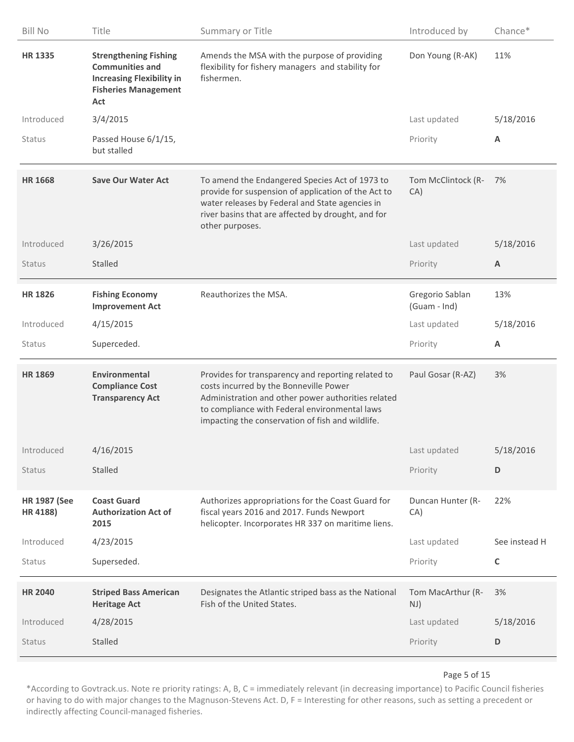| <b>Bill No</b>                  | Title                                                                                                                            | Summary or Title                                                                                                                                                                                                                                        | Introduced by                   | Chance*                   |
|---------------------------------|----------------------------------------------------------------------------------------------------------------------------------|---------------------------------------------------------------------------------------------------------------------------------------------------------------------------------------------------------------------------------------------------------|---------------------------------|---------------------------|
| <b>HR 1335</b>                  | <b>Strengthening Fishing</b><br><b>Communities and</b><br><b>Increasing Flexibility in</b><br><b>Fisheries Management</b><br>Act | Amends the MSA with the purpose of providing<br>flexibility for fishery managers and stability for<br>fishermen.                                                                                                                                        | Don Young (R-AK)                | 11%                       |
| Introduced                      | 3/4/2015                                                                                                                         |                                                                                                                                                                                                                                                         | Last updated                    | 5/18/2016                 |
| Status                          | Passed House 6/1/15,<br>but stalled                                                                                              |                                                                                                                                                                                                                                                         | Priority                        | Α                         |
| <b>HR 1668</b>                  | <b>Save Our Water Act</b>                                                                                                        | To amend the Endangered Species Act of 1973 to<br>provide for suspension of application of the Act to<br>water releases by Federal and State agencies in<br>river basins that are affected by drought, and for<br>other purposes.                       | Tom McClintock (R-<br>CA)       | 7%                        |
| Introduced                      | 3/26/2015                                                                                                                        |                                                                                                                                                                                                                                                         | Last updated                    | 5/18/2016                 |
| <b>Status</b>                   | <b>Stalled</b>                                                                                                                   |                                                                                                                                                                                                                                                         | Priority                        | $\boldsymbol{\mathsf{A}}$ |
| <b>HR 1826</b>                  | <b>Fishing Economy</b><br><b>Improvement Act</b>                                                                                 | Reauthorizes the MSA.                                                                                                                                                                                                                                   | Gregorio Sablan<br>(Guam - Ind) | 13%                       |
| Introduced                      | 4/15/2015                                                                                                                        |                                                                                                                                                                                                                                                         | Last updated                    | 5/18/2016                 |
| <b>Status</b>                   | Superceded.                                                                                                                      |                                                                                                                                                                                                                                                         | Priority                        | A                         |
| <b>HR 1869</b>                  | <b>Environmental</b><br><b>Compliance Cost</b><br><b>Transparency Act</b>                                                        | Provides for transparency and reporting related to<br>costs incurred by the Bonneville Power<br>Administration and other power authorities related<br>to compliance with Federal environmental laws<br>impacting the conservation of fish and wildlife. | Paul Gosar (R-AZ)               | 3%                        |
| Introduced                      | 4/16/2015                                                                                                                        |                                                                                                                                                                                                                                                         | Last updated                    | 5/18/2016                 |
| Status                          | <b>Stalled</b>                                                                                                                   |                                                                                                                                                                                                                                                         | Priority                        | D                         |
| <b>HR 1987 (See</b><br>HR 4188) | <b>Coast Guard</b><br><b>Authorization Act of</b><br>2015                                                                        | Authorizes appropriations for the Coast Guard for<br>fiscal years 2016 and 2017. Funds Newport<br>helicopter. Incorporates HR 337 on maritime liens.                                                                                                    | Duncan Hunter (R-<br>CA)        | 22%                       |
| Introduced                      | 4/23/2015                                                                                                                        |                                                                                                                                                                                                                                                         | Last updated                    | See instead H             |
| Status                          | Superseded.                                                                                                                      |                                                                                                                                                                                                                                                         | Priority                        | C                         |
| <b>HR 2040</b>                  | <b>Striped Bass American</b><br><b>Heritage Act</b>                                                                              | Designates the Atlantic striped bass as the National<br>Fish of the United States.                                                                                                                                                                      | Tom MacArthur (R-<br>NJ)        | 3%                        |
| Introduced                      | 4/28/2015                                                                                                                        |                                                                                                                                                                                                                                                         | Last updated                    | 5/18/2016                 |
| Status                          | <b>Stalled</b>                                                                                                                   |                                                                                                                                                                                                                                                         | Priority                        | D                         |

#### Page 5 of 15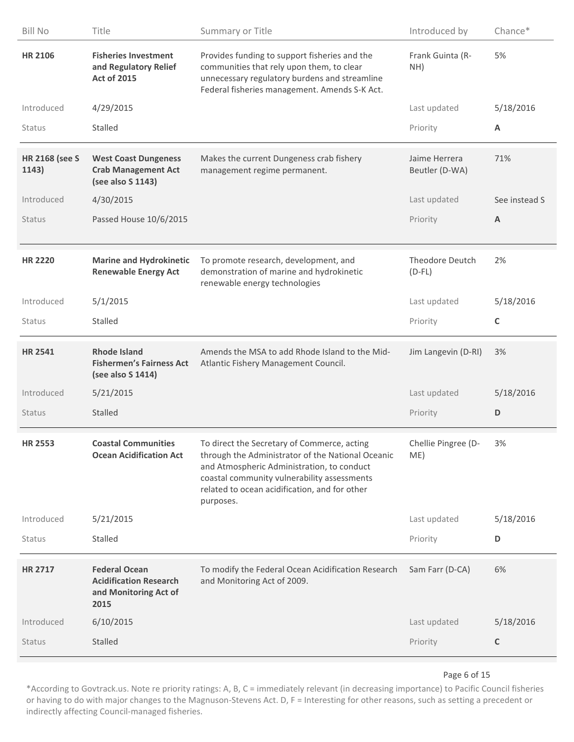| <b>Bill No</b>                 | Title                                                                                  | Summary or Title                                                                                                                                                                                                                                            | Introduced by                   | Chance*       |
|--------------------------------|----------------------------------------------------------------------------------------|-------------------------------------------------------------------------------------------------------------------------------------------------------------------------------------------------------------------------------------------------------------|---------------------------------|---------------|
| <b>HR 2106</b>                 | <b>Fisheries Investment</b><br>and Regulatory Relief<br><b>Act of 2015</b>             | Provides funding to support fisheries and the<br>communities that rely upon them, to clear<br>unnecessary regulatory burdens and streamline<br>Federal fisheries management. Amends S-K Act.                                                                | Frank Guinta (R-<br>NH)         | 5%            |
| Introduced                     | 4/29/2015                                                                              |                                                                                                                                                                                                                                                             | Last updated                    | 5/18/2016     |
| <b>Status</b>                  | <b>Stalled</b>                                                                         |                                                                                                                                                                                                                                                             | Priority                        | Α             |
| <b>HR 2168 (see S</b><br>1143) | <b>West Coast Dungeness</b><br><b>Crab Management Act</b><br>(see also S 1143)         | Makes the current Dungeness crab fishery<br>management regime permanent.                                                                                                                                                                                    | Jaime Herrera<br>Beutler (D-WA) | 71%           |
| Introduced                     | 4/30/2015                                                                              |                                                                                                                                                                                                                                                             | Last updated                    | See instead S |
| <b>Status</b>                  | Passed House 10/6/2015                                                                 |                                                                                                                                                                                                                                                             | Priority                        | A             |
| <b>HR 2220</b>                 | <b>Marine and Hydrokinetic</b><br><b>Renewable Energy Act</b>                          | To promote research, development, and<br>demonstration of marine and hydrokinetic<br>renewable energy technologies                                                                                                                                          | Theodore Deutch<br>$(D-FL)$     | 2%            |
| Introduced                     | 5/1/2015                                                                               |                                                                                                                                                                                                                                                             | Last updated                    | 5/18/2016     |
| <b>Status</b>                  | Stalled                                                                                |                                                                                                                                                                                                                                                             | Priority                        | C             |
| <b>HR 2541</b>                 | <b>Rhode Island</b><br><b>Fishermen's Fairness Act</b><br>(see also S 1414)            | Amends the MSA to add Rhode Island to the Mid-<br>Atlantic Fishery Management Council.                                                                                                                                                                      | Jim Langevin (D-RI)             | 3%            |
| Introduced                     | 5/21/2015                                                                              |                                                                                                                                                                                                                                                             | Last updated                    | 5/18/2016     |
| <b>Status</b>                  | Stalled                                                                                |                                                                                                                                                                                                                                                             | Priority                        | D             |
| <b>HR 2553</b>                 | <b>Coastal Communities</b><br><b>Ocean Acidification Act</b>                           | To direct the Secretary of Commerce, acting<br>through the Administrator of the National Oceanic<br>and Atmospheric Administration, to conduct<br>coastal community vulnerability assessments<br>related to ocean acidification, and for other<br>purposes. | Chellie Pingree (D-<br>ME)      | 3%            |
| Introduced                     | 5/21/2015                                                                              |                                                                                                                                                                                                                                                             | Last updated                    | 5/18/2016     |
| Status                         | Stalled                                                                                |                                                                                                                                                                                                                                                             | Priority                        | D             |
| <b>HR 2717</b>                 | <b>Federal Ocean</b><br><b>Acidification Research</b><br>and Monitoring Act of<br>2015 | To modify the Federal Ocean Acidification Research<br>and Monitoring Act of 2009.                                                                                                                                                                           | Sam Farr (D-CA)                 | 6%            |
| Introduced                     | 6/10/2015                                                                              |                                                                                                                                                                                                                                                             | Last updated                    | 5/18/2016     |
| <b>Status</b>                  | Stalled                                                                                |                                                                                                                                                                                                                                                             | Priority                        | C             |

#### Page 6 of 15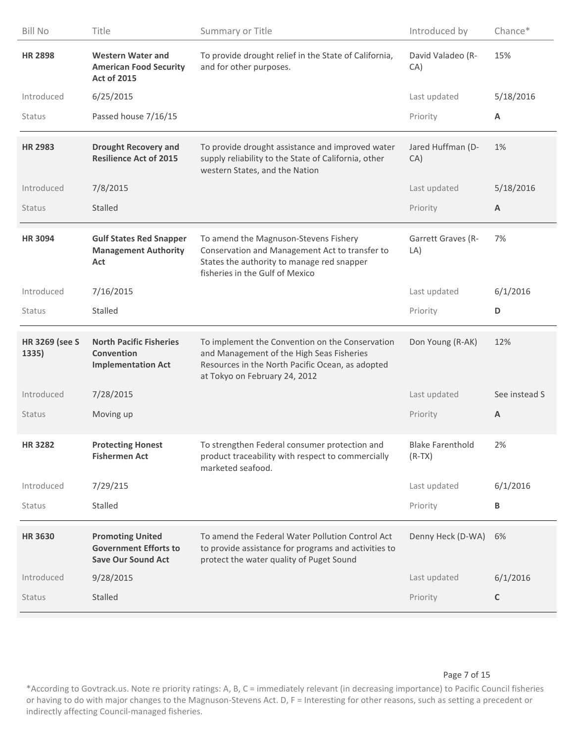| <b>Bill No</b>                 | Title                                                                                | Summary or Title                                                                                                                                                                  | Introduced by                       | Chance*       |
|--------------------------------|--------------------------------------------------------------------------------------|-----------------------------------------------------------------------------------------------------------------------------------------------------------------------------------|-------------------------------------|---------------|
| <b>HR 2898</b>                 | <b>Western Water and</b><br><b>American Food Security</b><br><b>Act of 2015</b>      | To provide drought relief in the State of California,<br>and for other purposes.                                                                                                  | David Valadeo (R-<br>CA)            | 15%           |
| Introduced                     | 6/25/2015                                                                            |                                                                                                                                                                                   | Last updated                        | 5/18/2016     |
| <b>Status</b>                  | Passed house 7/16/15                                                                 |                                                                                                                                                                                   | Priority                            | A             |
| <b>HR 2983</b>                 | <b>Drought Recovery and</b><br><b>Resilience Act of 2015</b>                         | To provide drought assistance and improved water<br>supply reliability to the State of California, other<br>western States, and the Nation                                        | Jared Huffman (D-<br>CA)            | 1%            |
| Introduced                     | 7/8/2015                                                                             |                                                                                                                                                                                   | Last updated                        | 5/18/2016     |
| <b>Status</b>                  | <b>Stalled</b>                                                                       |                                                                                                                                                                                   | Priority                            | A             |
| <b>HR 3094</b>                 | <b>Gulf States Red Snapper</b><br><b>Management Authority</b><br>Act                 | To amend the Magnuson-Stevens Fishery<br>Conservation and Management Act to transfer to<br>States the authority to manage red snapper<br>fisheries in the Gulf of Mexico          | Garrett Graves (R-<br>LA)           | 7%            |
| Introduced                     | 7/16/2015                                                                            |                                                                                                                                                                                   | Last updated                        | 6/1/2016      |
| <b>Status</b>                  | <b>Stalled</b>                                                                       |                                                                                                                                                                                   | Priority                            | D             |
| <b>HR 3269 (see S</b><br>1335) | <b>North Pacific Fisheries</b><br>Convention<br><b>Implementation Act</b>            | To implement the Convention on the Conservation<br>and Management of the High Seas Fisheries<br>Resources in the North Pacific Ocean, as adopted<br>at Tokyo on February 24, 2012 | Don Young (R-AK)                    | 12%           |
| Introduced                     | 7/28/2015                                                                            |                                                                                                                                                                                   | Last updated                        | See instead S |
| <b>Status</b>                  | Moving up                                                                            |                                                                                                                                                                                   | Priority                            | A             |
| <b>HR 3282</b>                 | <b>Protecting Honest</b><br><b>Fishermen Act</b>                                     | To strengthen Federal consumer protection and<br>product traceability with respect to commercially<br>marketed seafood.                                                           | <b>Blake Farenthold</b><br>$(R-TX)$ | 2%            |
| Introduced                     | 7/29/215                                                                             |                                                                                                                                                                                   | Last updated                        | 6/1/2016      |
| Status                         | Stalled                                                                              |                                                                                                                                                                                   | Priority                            | B             |
| <b>HR 3630</b>                 | <b>Promoting United</b><br><b>Government Efforts to</b><br><b>Save Our Sound Act</b> | To amend the Federal Water Pollution Control Act<br>to provide assistance for programs and activities to<br>protect the water quality of Puget Sound                              | Denny Heck (D-WA)                   | 6%            |
| Introduced                     | 9/28/2015                                                                            |                                                                                                                                                                                   | Last updated                        | 6/1/2016      |
| <b>Status</b>                  | Stalled                                                                              |                                                                                                                                                                                   | Priority                            | $\mathsf C$   |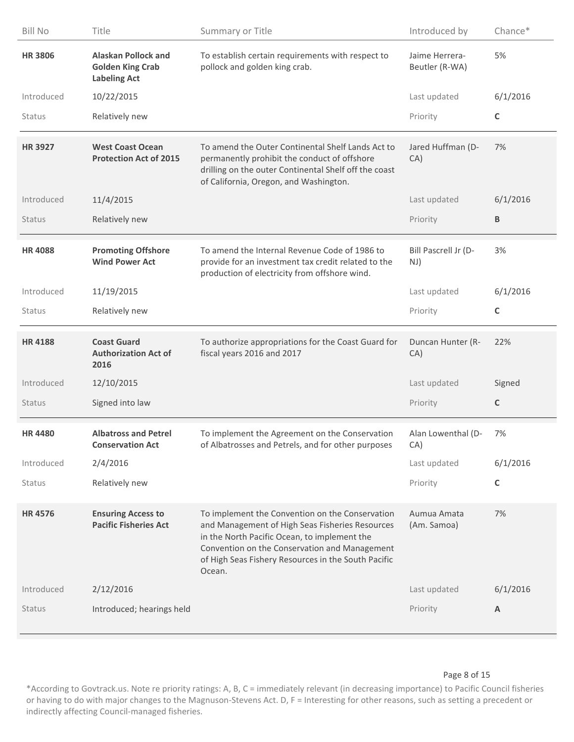| <b>Bill No</b> | Title                                                                        | Summary or Title                                                                                                                                                                                                                                                     | Introduced by                    | Chance*     |
|----------------|------------------------------------------------------------------------------|----------------------------------------------------------------------------------------------------------------------------------------------------------------------------------------------------------------------------------------------------------------------|----------------------------------|-------------|
| <b>HR3806</b>  | <b>Alaskan Pollock and</b><br><b>Golden King Crab</b><br><b>Labeling Act</b> | To establish certain requirements with respect to<br>pollock and golden king crab.                                                                                                                                                                                   | Jaime Herrera-<br>Beutler (R-WA) | 5%          |
| Introduced     | 10/22/2015                                                                   |                                                                                                                                                                                                                                                                      | Last updated                     | 6/1/2016    |
| Status         | Relatively new                                                               |                                                                                                                                                                                                                                                                      | Priority                         | $\mathsf C$ |
| <b>HR 3927</b> | <b>West Coast Ocean</b><br><b>Protection Act of 2015</b>                     | To amend the Outer Continental Shelf Lands Act to<br>permanently prohibit the conduct of offshore<br>drilling on the outer Continental Shelf off the coast<br>of California, Oregon, and Washington.                                                                 | Jared Huffman (D-<br>CA)         | 7%          |
| Introduced     | 11/4/2015                                                                    |                                                                                                                                                                                                                                                                      | Last updated                     | 6/1/2016    |
| <b>Status</b>  | Relatively new                                                               |                                                                                                                                                                                                                                                                      | Priority                         | B           |
| <b>HR4088</b>  | <b>Promoting Offshore</b><br><b>Wind Power Act</b>                           | To amend the Internal Revenue Code of 1986 to<br>provide for an investment tax credit related to the<br>production of electricity from offshore wind.                                                                                                                | Bill Pascrell Jr (D-<br>NJ)      | 3%          |
| Introduced     | 11/19/2015                                                                   |                                                                                                                                                                                                                                                                      | Last updated                     | 6/1/2016    |
| <b>Status</b>  | Relatively new                                                               |                                                                                                                                                                                                                                                                      | Priority                         | $\mathsf C$ |
|                |                                                                              |                                                                                                                                                                                                                                                                      |                                  |             |
| <b>HR4188</b>  | <b>Coast Guard</b><br><b>Authorization Act of</b><br>2016                    | To authorize appropriations for the Coast Guard for<br>fiscal years 2016 and 2017                                                                                                                                                                                    | Duncan Hunter (R-<br>CA)         | 22%         |
| Introduced     | 12/10/2015                                                                   |                                                                                                                                                                                                                                                                      | Last updated                     | Signed      |
| <b>Status</b>  | Signed into law                                                              |                                                                                                                                                                                                                                                                      | Priority                         | C           |
| <b>HR4480</b>  | <b>Albatross and Petrel</b><br><b>Conservation Act</b>                       | To implement the Agreement on the Conservation<br>of Albatrosses and Petrels, and for other purposes                                                                                                                                                                 | Alan Lowenthal (D-<br>CA)        | 7%          |
| Introduced     | 2/4/2016                                                                     |                                                                                                                                                                                                                                                                      | Last updated                     | 6/1/2016    |
| <b>Status</b>  | Relatively new                                                               |                                                                                                                                                                                                                                                                      | Priority                         | $\mathsf C$ |
| <b>HR4576</b>  | <b>Ensuring Access to</b><br><b>Pacific Fisheries Act</b>                    | To implement the Convention on the Conservation<br>and Management of High Seas Fisheries Resources<br>in the North Pacific Ocean, to implement the<br>Convention on the Conservation and Management<br>of High Seas Fishery Resources in the South Pacific<br>Ocean. | Aumua Amata<br>(Am. Samoa)       | 7%          |
| Introduced     | 2/12/2016                                                                    |                                                                                                                                                                                                                                                                      | Last updated                     | 6/1/2016    |

#### Page 8 of 15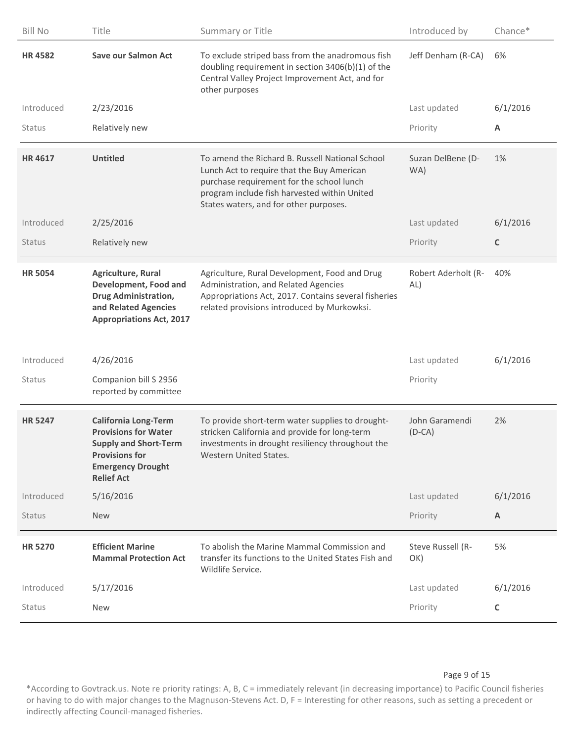| <b>Bill No</b> | Title                                                                                                                                                                | Summary or Title                                                                                                                                                                                                                     | Introduced by              | Chance*     |
|----------------|----------------------------------------------------------------------------------------------------------------------------------------------------------------------|--------------------------------------------------------------------------------------------------------------------------------------------------------------------------------------------------------------------------------------|----------------------------|-------------|
| <b>HR4582</b>  | <b>Save our Salmon Act</b>                                                                                                                                           | To exclude striped bass from the anadromous fish<br>doubling requirement in section 3406(b)(1) of the<br>Central Valley Project Improvement Act, and for<br>other purposes                                                           | Jeff Denham (R-CA)         | 6%          |
| Introduced     | 2/23/2016                                                                                                                                                            |                                                                                                                                                                                                                                      | Last updated               | 6/1/2016    |
| Status         | Relatively new                                                                                                                                                       |                                                                                                                                                                                                                                      | Priority                   | A           |
| <b>HR4617</b>  | <b>Untitled</b>                                                                                                                                                      | To amend the Richard B. Russell National School<br>Lunch Act to require that the Buy American<br>purchase requirement for the school lunch<br>program include fish harvested within United<br>States waters, and for other purposes. | Suzan DelBene (D-<br>WA)   | 1%          |
| Introduced     | 2/25/2016                                                                                                                                                            |                                                                                                                                                                                                                                      | Last updated               | 6/1/2016    |
| Status         | Relatively new                                                                                                                                                       |                                                                                                                                                                                                                                      | Priority                   | $\mathsf C$ |
| <b>HR 5054</b> | Agriculture, Rural<br>Development, Food and<br><b>Drug Administration,</b><br>and Related Agencies<br><b>Appropriations Act, 2017</b>                                | Agriculture, Rural Development, Food and Drug<br>Administration, and Related Agencies<br>Appropriations Act, 2017. Contains several fisheries<br>related provisions introduced by Murkowksi.                                         | Robert Aderholt (R-<br>AL) | 40%         |
| Introduced     | 4/26/2016                                                                                                                                                            |                                                                                                                                                                                                                                      | Last updated               | 6/1/2016    |
| Status         | Companion bill S 2956<br>reported by committee                                                                                                                       |                                                                                                                                                                                                                                      | Priority                   |             |
| <b>HR 5247</b> | <b>California Long-Term</b><br><b>Provisions for Water</b><br><b>Supply and Short-Term</b><br><b>Provisions for</b><br><b>Emergency Drought</b><br><b>Relief Act</b> | To provide short-term water supplies to drought-<br>stricken California and provide for long-term<br>investments in drought resiliency throughout the<br>Western United States.                                                      | John Garamendi<br>$(D-CA)$ | 2%          |
| Introduced     | 5/16/2016                                                                                                                                                            |                                                                                                                                                                                                                                      | Last updated               | 6/1/2016    |
| <b>Status</b>  | New                                                                                                                                                                  |                                                                                                                                                                                                                                      | Priority                   | A           |
| <b>HR 5270</b> | <b>Efficient Marine</b><br><b>Mammal Protection Act</b>                                                                                                              | To abolish the Marine Mammal Commission and<br>transfer its functions to the United States Fish and<br>Wildlife Service.                                                                                                             | Steve Russell (R-<br>OK)   | 5%          |
| Introduced     | 5/17/2016                                                                                                                                                            |                                                                                                                                                                                                                                      | Last updated               | 6/1/2016    |
| Status         | <b>New</b>                                                                                                                                                           |                                                                                                                                                                                                                                      | Priority                   | $\mathsf C$ |
|                |                                                                                                                                                                      |                                                                                                                                                                                                                                      |                            |             |

#### Page 9 of 15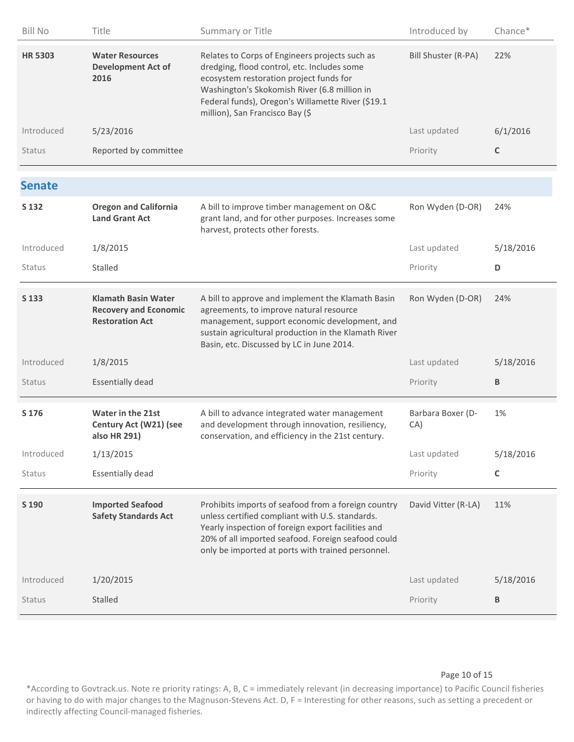| <b>Bill No</b> | Title                                                                                | Summary or Title                                                                                                                                                                                                                                                                 | Introduced by            | Chance*      |
|----------------|--------------------------------------------------------------------------------------|----------------------------------------------------------------------------------------------------------------------------------------------------------------------------------------------------------------------------------------------------------------------------------|--------------------------|--------------|
| <b>HR 5303</b> | <b>Water Resources</b><br><b>Development Act of</b><br>2016                          | Relates to Corps of Engineers projects such as<br>dredging, flood control, etc. Includes some<br>ecosystem restoration project funds for<br>Washington's Skokomish River (6.8 million in<br>Federal funds), Oregon's Willamette River (\$19.1<br>million), San Francisco Bay (\$ | Bill Shuster (R-PA)      | 22%          |
| Introduced     | 5/23/2016                                                                            |                                                                                                                                                                                                                                                                                  | Last updated             | 6/1/2016     |
| <b>Status</b>  | Reported by committee                                                                |                                                                                                                                                                                                                                                                                  | Priority                 | $\mathsf{C}$ |
| <b>Senate</b>  |                                                                                      |                                                                                                                                                                                                                                                                                  |                          |              |
| S 132          | <b>Oregon and California</b><br><b>Land Grant Act</b>                                | A bill to improve timber management on O&C<br>grant land, and for other purposes. Increases some<br>harvest, protects other forests.                                                                                                                                             | Ron Wyden (D-OR)         | 24%          |
| Introduced     | 1/8/2015                                                                             |                                                                                                                                                                                                                                                                                  | Last updated             | 5/18/2016    |
| Status         | Stalled                                                                              |                                                                                                                                                                                                                                                                                  | Priority                 | D            |
| S 133          | <b>Klamath Basin Water</b><br><b>Recovery and Economic</b><br><b>Restoration Act</b> | A bill to approve and implement the Klamath Basin<br>agreements, to improve natural resource<br>management, support economic development, and<br>sustain agricultural production in the Klamath River<br>Basin, etc. Discussed by LC in June 2014.                               | Ron Wyden (D-OR)         | 24%          |
| Introduced     | 1/8/2015                                                                             |                                                                                                                                                                                                                                                                                  | Last updated             | 5/18/2016    |
| Status         | <b>Essentially dead</b>                                                              |                                                                                                                                                                                                                                                                                  | Priority                 | В            |
| S 176          | Water in the 21st<br>Century Act (W21) (see<br>also HR 291)                          | A bill to advance integrated water management<br>and development through innovation, resiliency,<br>conservation, and efficiency in the 21st century.                                                                                                                            | Barbara Boxer (D-<br>CA) | 1%           |
| Introduced     | 1/13/2015                                                                            |                                                                                                                                                                                                                                                                                  | Last updated             | 5/18/2016    |
| Status         | <b>Essentially dead</b>                                                              |                                                                                                                                                                                                                                                                                  | Priority                 | $\mathsf C$  |
| S 190          | <b>Imported Seafood</b><br><b>Safety Standards Act</b>                               | Prohibits imports of seafood from a foreign country<br>unless certified compliant with U.S. standards.<br>Yearly inspection of foreign export facilities and<br>20% of all imported seafood. Foreign seafood could<br>only be imported at ports with trained personnel.          | David Vitter (R-LA)      | 11%          |
| Introduced     | 1/20/2015                                                                            |                                                                                                                                                                                                                                                                                  | Last updated             | 5/18/2016    |
| <b>Status</b>  | Stalled                                                                              |                                                                                                                                                                                                                                                                                  | Priority                 | B            |

#### Page 10 of 15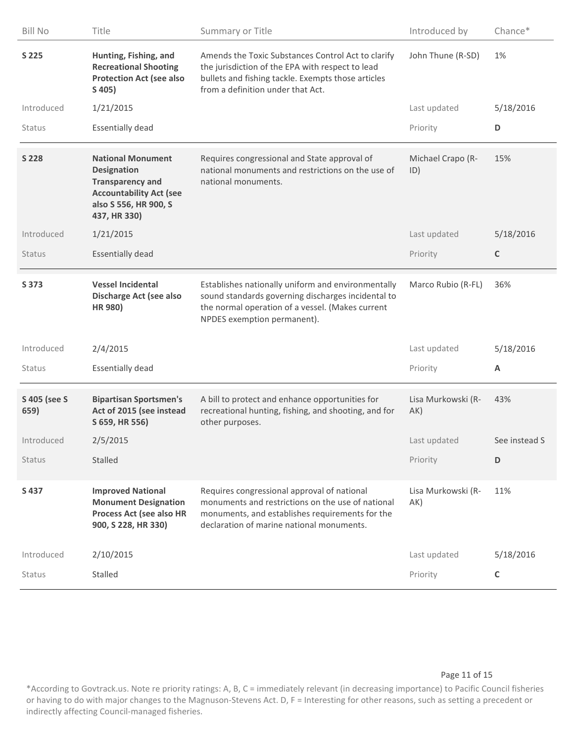| <b>Bill No</b>       | Title                                                                                                                                                | Summary or Title                                                                                                                                                                                  | Introduced by             | Chance*       |
|----------------------|------------------------------------------------------------------------------------------------------------------------------------------------------|---------------------------------------------------------------------------------------------------------------------------------------------------------------------------------------------------|---------------------------|---------------|
| S 225                | Hunting, Fishing, and<br><b>Recreational Shooting</b><br><b>Protection Act (see also</b><br>S 405)                                                   | Amends the Toxic Substances Control Act to clarify<br>the jurisdiction of the EPA with respect to lead<br>bullets and fishing tackle. Exempts those articles<br>from a definition under that Act. | John Thune (R-SD)         | 1%            |
| Introduced           | 1/21/2015                                                                                                                                            |                                                                                                                                                                                                   | Last updated              | 5/18/2016     |
| Status               | <b>Essentially dead</b>                                                                                                                              |                                                                                                                                                                                                   | Priority                  | D             |
| S 228                | <b>National Monument</b><br><b>Designation</b><br><b>Transparency and</b><br><b>Accountability Act (see</b><br>also S 556, HR 900, S<br>437, HR 330) | Requires congressional and State approval of<br>national monuments and restrictions on the use of<br>national monuments.                                                                          | Michael Crapo (R-<br>ID)  | 15%           |
| Introduced           | 1/21/2015                                                                                                                                            |                                                                                                                                                                                                   | Last updated              | 5/18/2016     |
| <b>Status</b>        | <b>Essentially dead</b>                                                                                                                              |                                                                                                                                                                                                   | Priority                  | $\mathsf C$   |
| S 373                | <b>Vessel Incidental</b><br>Discharge Act (see also<br>HR 980)                                                                                       | Establishes nationally uniform and environmentally<br>sound standards governing discharges incidental to<br>the normal operation of a vessel. (Makes current<br>NPDES exemption permanent).       | Marco Rubio (R-FL)        | 36%           |
| Introduced           | 2/4/2015                                                                                                                                             |                                                                                                                                                                                                   | Last updated              | 5/18/2016     |
| Status               | <b>Essentially dead</b>                                                                                                                              |                                                                                                                                                                                                   | Priority                  | A             |
| S 405 (see S<br>659) | <b>Bipartisan Sportsmen's</b><br>Act of 2015 (see instead<br>S 659, HR 556)                                                                          | A bill to protect and enhance opportunities for<br>recreational hunting, fishing, and shooting, and for<br>other purposes.                                                                        | Lisa Murkowski (R-<br>AK) | 43%           |
| Introduced           | 2/5/2015                                                                                                                                             |                                                                                                                                                                                                   | Last updated              | See instead S |
| <b>Status</b>        | Stalled                                                                                                                                              |                                                                                                                                                                                                   | Priority                  | D             |
| S 437                | <b>Improved National</b><br><b>Monument Designation</b><br>Process Act (see also HR<br>900, S 228, HR 330)                                           | Requires congressional approval of national<br>monuments and restrictions on the use of national<br>monuments, and establishes requirements for the<br>declaration of marine national monuments.  | Lisa Murkowski (R-<br>AK) | 11%           |
| Introduced           | 2/10/2015                                                                                                                                            |                                                                                                                                                                                                   | Last updated              | 5/18/2016     |
| <b>Status</b>        | Stalled                                                                                                                                              |                                                                                                                                                                                                   | Priority                  | $\mathsf C$   |

## Page 11 of 15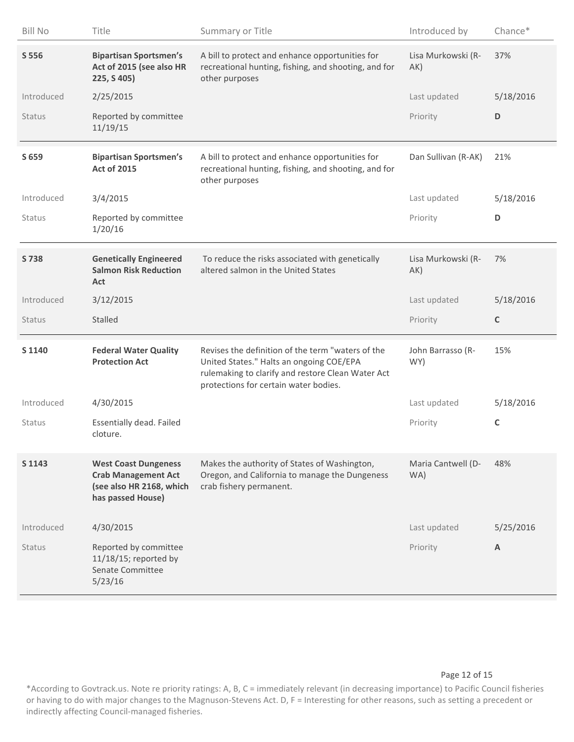| <b>Bill No</b> | Title                                                                                                      | Summary or Title                                                                                                                                                                            | Introduced by             | Chance*     |
|----------------|------------------------------------------------------------------------------------------------------------|---------------------------------------------------------------------------------------------------------------------------------------------------------------------------------------------|---------------------------|-------------|
| S 556          | <b>Bipartisan Sportsmen's</b><br>Act of 2015 (see also HR<br>225, S 405)                                   | A bill to protect and enhance opportunities for<br>recreational hunting, fishing, and shooting, and for<br>other purposes                                                                   | Lisa Murkowski (R-<br>AK) | 37%         |
| Introduced     | 2/25/2015                                                                                                  |                                                                                                                                                                                             | Last updated              | 5/18/2016   |
| Status         | Reported by committee<br>11/19/15                                                                          |                                                                                                                                                                                             | Priority                  | D           |
| S 659          | <b>Bipartisan Sportsmen's</b><br><b>Act of 2015</b>                                                        | A bill to protect and enhance opportunities for<br>recreational hunting, fishing, and shooting, and for<br>other purposes                                                                   | Dan Sullivan (R-AK)       | 21%         |
| Introduced     | 3/4/2015                                                                                                   |                                                                                                                                                                                             | Last updated              | 5/18/2016   |
| <b>Status</b>  | Reported by committee<br>1/20/16                                                                           |                                                                                                                                                                                             | Priority                  | D           |
| S 738          | <b>Genetically Engineered</b><br><b>Salmon Risk Reduction</b><br>Act                                       | To reduce the risks associated with genetically<br>altered salmon in the United States                                                                                                      | Lisa Murkowski (R-<br>AK) | 7%          |
| Introduced     | 3/12/2015                                                                                                  |                                                                                                                                                                                             | Last updated              | 5/18/2016   |
|                |                                                                                                            |                                                                                                                                                                                             |                           |             |
| <b>Status</b>  | <b>Stalled</b>                                                                                             |                                                                                                                                                                                             | Priority                  | $\mathsf C$ |
| S 1140         | <b>Federal Water Quality</b><br><b>Protection Act</b>                                                      | Revises the definition of the term "waters of the<br>United States." Halts an ongoing COE/EPA<br>rulemaking to clarify and restore Clean Water Act<br>protections for certain water bodies. | John Barrasso (R-<br>WY)  | 15%         |
| Introduced     | 4/30/2015                                                                                                  |                                                                                                                                                                                             | Last updated              | 5/18/2016   |
| <b>Status</b>  | Essentially dead. Failed<br>cloture.                                                                       |                                                                                                                                                                                             | Priority                  | $\mathsf C$ |
| S 1143         | <b>West Coast Dungeness</b><br><b>Crab Management Act</b><br>(see also HR 2168, which<br>has passed House) | Makes the authority of States of Washington,<br>Oregon, and California to manage the Dungeness<br>crab fishery permanent.                                                                   | Maria Cantwell (D-<br>WA) | 48%         |
| Introduced     | 4/30/2015                                                                                                  |                                                                                                                                                                                             | Last updated              | 5/25/2016   |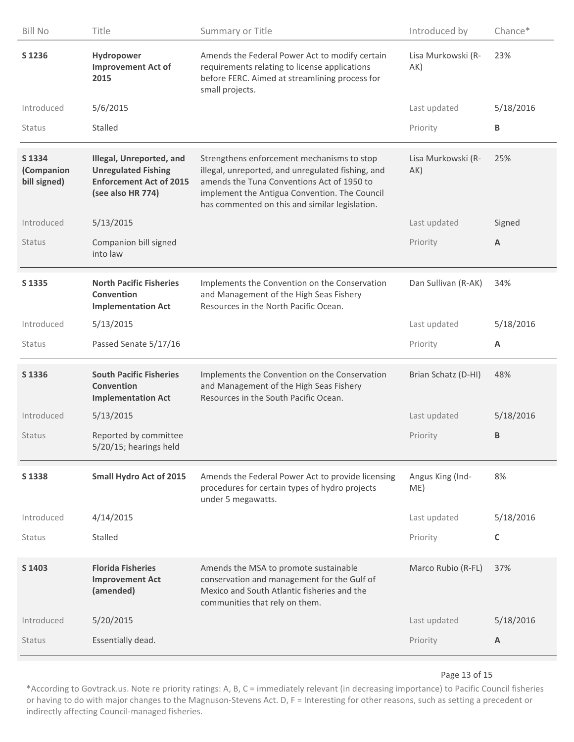| <b>Bill No</b>                       | Title                                                                                                         | Summary or Title                                                                                                                                                                                                                                 | Introduced by             | Chance*                 |
|--------------------------------------|---------------------------------------------------------------------------------------------------------------|--------------------------------------------------------------------------------------------------------------------------------------------------------------------------------------------------------------------------------------------------|---------------------------|-------------------------|
| S 1236                               | Hydropower<br><b>Improvement Act of</b><br>2015                                                               | Amends the Federal Power Act to modify certain<br>requirements relating to license applications<br>before FERC. Aimed at streamlining process for<br>small projects.                                                                             | Lisa Murkowski (R-<br>AK) | 23%                     |
| Introduced                           | 5/6/2015                                                                                                      |                                                                                                                                                                                                                                                  | Last updated              | 5/18/2016               |
| <b>Status</b>                        | Stalled                                                                                                       |                                                                                                                                                                                                                                                  | Priority                  | В                       |
| S 1334<br>(Companion<br>bill signed) | Illegal, Unreported, and<br><b>Unregulated Fishing</b><br><b>Enforcement Act of 2015</b><br>(see also HR 774) | Strengthens enforcement mechanisms to stop<br>illegal, unreported, and unregulated fishing, and<br>amends the Tuna Conventions Act of 1950 to<br>implement the Antigua Convention. The Council<br>has commented on this and similar legislation. | Lisa Murkowski (R-<br>AK) | 25%                     |
| Introduced                           | 5/13/2015                                                                                                     |                                                                                                                                                                                                                                                  | Last updated              | Signed                  |
| <b>Status</b>                        | Companion bill signed<br>into law                                                                             |                                                                                                                                                                                                                                                  | Priority                  | $\overline{\mathsf{A}}$ |
| S 1335                               | <b>North Pacific Fisheries</b><br>Convention<br><b>Implementation Act</b>                                     | Implements the Convention on the Conservation<br>and Management of the High Seas Fishery<br>Resources in the North Pacific Ocean.                                                                                                                | Dan Sullivan (R-AK)       | 34%                     |
| Introduced                           | 5/13/2015                                                                                                     |                                                                                                                                                                                                                                                  | Last updated              | 5/18/2016               |
| <b>Status</b>                        | Passed Senate 5/17/16                                                                                         |                                                                                                                                                                                                                                                  | Priority                  | A                       |
| S 1336                               | <b>South Pacific Fisheries</b><br>Convention<br><b>Implementation Act</b>                                     | Implements the Convention on the Conservation<br>and Management of the High Seas Fishery<br>Resources in the South Pacific Ocean.                                                                                                                | Brian Schatz (D-HI)       | 48%                     |
| Introduced                           | 5/13/2015                                                                                                     |                                                                                                                                                                                                                                                  | Last updated              | 5/18/2016               |
| <b>Status</b>                        | Reported by committee<br>5/20/15; hearings held                                                               |                                                                                                                                                                                                                                                  | Priority                  | B                       |
| S 1338                               | <b>Small Hydro Act of 2015</b>                                                                                | Amends the Federal Power Act to provide licensing<br>procedures for certain types of hydro projects<br>under 5 megawatts.                                                                                                                        | Angus King (Ind-<br>ME)   | 8%                      |
| Introduced                           | 4/14/2015                                                                                                     |                                                                                                                                                                                                                                                  | Last updated              | 5/18/2016               |
| <b>Status</b>                        | Stalled                                                                                                       |                                                                                                                                                                                                                                                  | Priority                  | C                       |
| S 1403                               |                                                                                                               |                                                                                                                                                                                                                                                  |                           |                         |
|                                      | <b>Florida Fisheries</b><br><b>Improvement Act</b><br>(amended)                                               | Amends the MSA to promote sustainable<br>conservation and management for the Gulf of<br>Mexico and South Atlantic fisheries and the<br>communities that rely on them.                                                                            | Marco Rubio (R-FL)        | 37%                     |
| Introduced                           | 5/20/2015                                                                                                     |                                                                                                                                                                                                                                                  | Last updated              | 5/18/2016               |

#### Page 13 of 15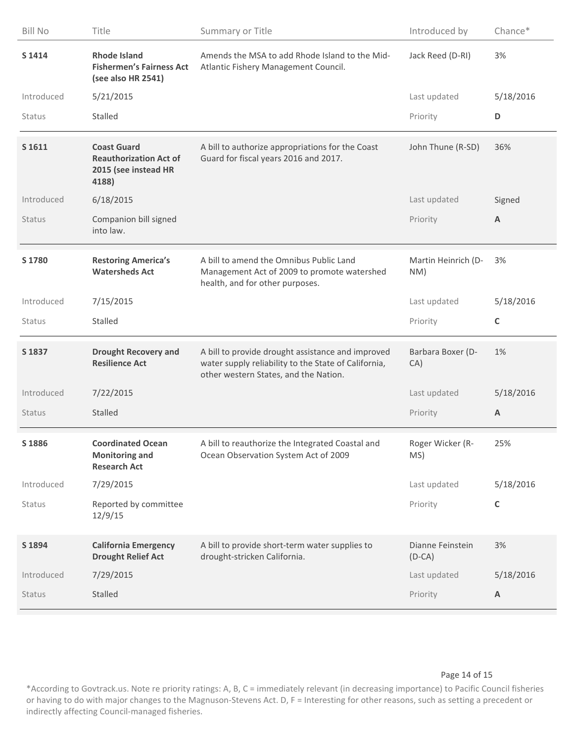| <b>Bill No</b> | Title                                                                                | Summary or Title                                                                                                                                   | Introduced by                | Chance*   |
|----------------|--------------------------------------------------------------------------------------|----------------------------------------------------------------------------------------------------------------------------------------------------|------------------------------|-----------|
| S 1414         | <b>Rhode Island</b><br><b>Fishermen's Fairness Act</b><br>(see also HR 2541)         | Amends the MSA to add Rhode Island to the Mid-<br>Atlantic Fishery Management Council.                                                             | Jack Reed (D-RI)             | 3%        |
| Introduced     | 5/21/2015                                                                            |                                                                                                                                                    | Last updated                 | 5/18/2016 |
| Status         | Stalled                                                                              |                                                                                                                                                    | Priority                     | D         |
| S 1611         | <b>Coast Guard</b><br><b>Reauthorization Act of</b><br>2015 (see instead HR<br>4188) | A bill to authorize appropriations for the Coast<br>Guard for fiscal years 2016 and 2017.                                                          | John Thune (R-SD)            | 36%       |
| Introduced     | 6/18/2015                                                                            |                                                                                                                                                    | Last updated                 | Signed    |
| Status         | Companion bill signed<br>into law.                                                   |                                                                                                                                                    | Priority                     | A         |
| S 1780         | <b>Restoring America's</b><br><b>Watersheds Act</b>                                  | A bill to amend the Omnibus Public Land<br>Management Act of 2009 to promote watershed<br>health, and for other purposes.                          | Martin Heinrich (D-<br>NM)   | 3%        |
| Introduced     | 7/15/2015                                                                            |                                                                                                                                                    | Last updated                 | 5/18/2016 |
|                |                                                                                      |                                                                                                                                                    |                              |           |
| Status         | Stalled                                                                              |                                                                                                                                                    | Priority                     | C         |
| S 1837         | <b>Drought Recovery and</b><br><b>Resilience Act</b>                                 | A bill to provide drought assistance and improved<br>water supply reliability to the State of California,<br>other western States, and the Nation. | Barbara Boxer (D-<br>CA)     | 1%        |
| Introduced     | 7/22/2015                                                                            |                                                                                                                                                    | Last updated                 | 5/18/2016 |
| <b>Status</b>  | Stalled                                                                              |                                                                                                                                                    | Priority                     | A         |
| S 1886         | <b>Coordinated Ocean</b><br><b>Monitoring and</b><br><b>Research Act</b>             | A bill to reauthorize the Integrated Coastal and<br>Ocean Observation System Act of 2009                                                           | Roger Wicker (R-<br>MS)      | 25%       |
| Introduced     | 7/29/2015                                                                            |                                                                                                                                                    | Last updated                 | 5/18/2016 |
| Status         | Reported by committee<br>12/9/15                                                     |                                                                                                                                                    | Priority                     | C         |
| S 1894         | <b>California Emergency</b><br><b>Drought Relief Act</b>                             | A bill to provide short-term water supplies to<br>drought-stricken California.                                                                     | Dianne Feinstein<br>$(D-CA)$ | 3%        |
| Introduced     | 7/29/2015                                                                            |                                                                                                                                                    | Last updated                 | 5/18/2016 |

#### Page 14 of 15